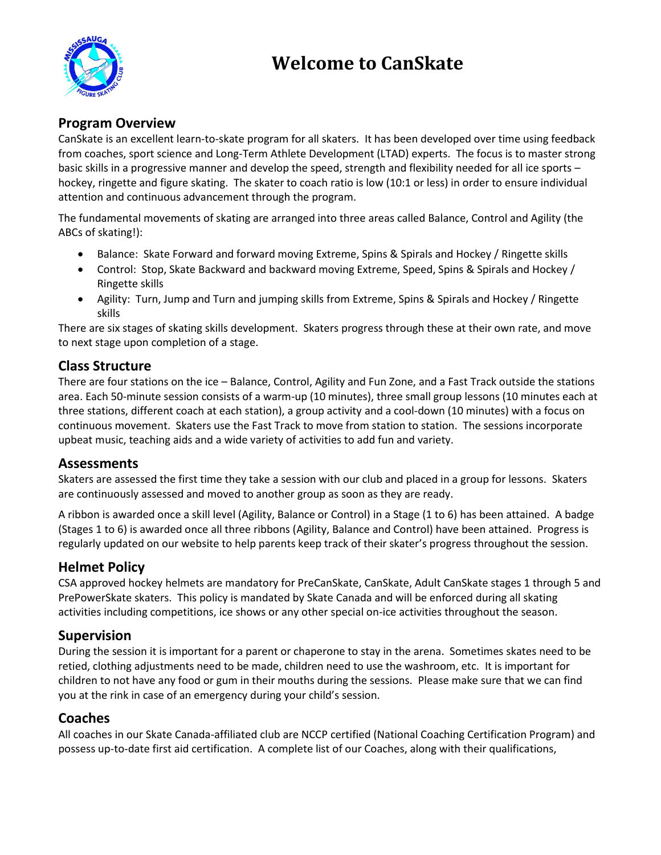# **Welcome to CanSkate**



## **Program Overview**

CanSkate is an excellent learn-to-skate program for all skaters. It has been developed over time using feedback from coaches, sport science and Long-Term Athlete Development (LTAD) experts. The focus is to master strong basic skills in a progressive manner and develop the speed, strength and flexibility needed for all ice sports – hockey, ringette and figure skating. The skater to coach ratio is low (10:1 or less) in order to ensure individual attention and continuous advancement through the program.

The fundamental movements of skating are arranged into three areas called Balance, Control and Agility (the ABCs of skating!):

- Balance: Skate Forward and forward moving Extreme, Spins & Spirals and Hockey / Ringette skills
- Control: Stop, Skate Backward and backward moving Extreme, Speed, Spins & Spirals and Hockey / Ringette skills
- Agility: Turn, Jump and Turn and jumping skills from Extreme, Spins & Spirals and Hockey / Ringette skills

There are six stages of skating skills development. Skaters progress through these at their own rate, and move to next stage upon completion of a stage.

### **Class Structure**

There are four stations on the ice – Balance, Control, Agility and Fun Zone, and a Fast Track outside the stations area. Each 50-minute session consists of a warm-up (10 minutes), three small group lessons (10 minutes each at three stations, different coach at each station), a group activity and a cool-down (10 minutes) with a focus on continuous movement. Skaters use the Fast Track to move from station to station. The sessions incorporate upbeat music, teaching aids and a wide variety of activities to add fun and variety.

#### **Assessments**

Skaters are assessed the first time they take a session with our club and placed in a group for lessons. Skaters are continuously assessed and moved to another group as soon as they are ready.

A ribbon is awarded once a skill level (Agility, Balance or Control) in a Stage (1 to 6) has been attained. A badge (Stages 1 to 6) is awarded once all three ribbons (Agility, Balance and Control) have been attained. Progress is regularly updated on our website to help parents keep track of their skater's progress throughout the session.

## **Helmet Policy**

CSA approved hockey helmets are mandatory for PreCanSkate, CanSkate, Adult CanSkate stages 1 through 5 and PrePowerSkate skaters. This policy is mandated by Skate Canada and will be enforced during all skating activities including competitions, ice shows or any other special on-ice activities throughout the season.

## **Supervision**

During the session it is important for a parent or chaperone to stay in the arena. Sometimes skates need to be retied, clothing adjustments need to be made, children need to use the washroom, etc. It is important for children to not have any food or gum in their mouths during the sessions. Please make sure that we can find you at the rink in case of an emergency during your child's session.

## **Coaches**

All coaches in our Skate Canada-affiliated club are NCCP certified (National Coaching Certification Program) and possess up-to-date first aid certification. A complete list of our Coaches, along with their qualifications,